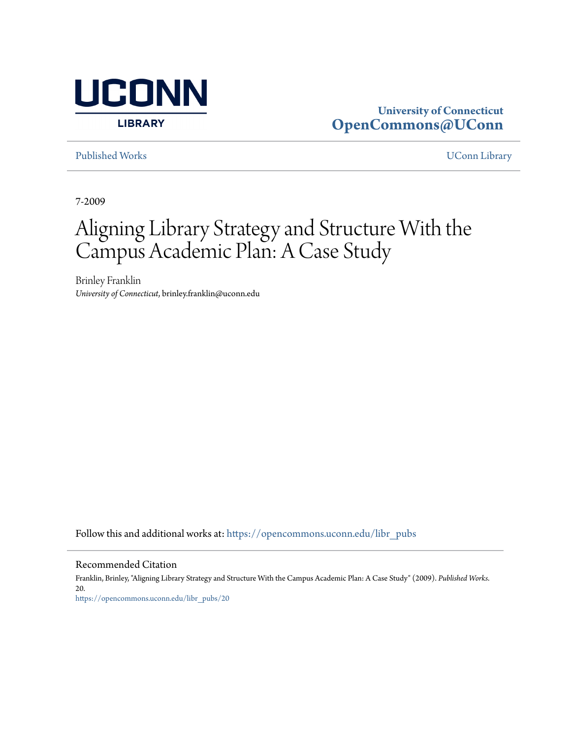

## **University of Connecticut [OpenCommons@UConn](https://opencommons.uconn.edu?utm_source=opencommons.uconn.edu%2Flibr_pubs%2F20&utm_medium=PDF&utm_campaign=PDFCoverPages)**

[Published Works](https://opencommons.uconn.edu/libr_pubs?utm_source=opencommons.uconn.edu%2Flibr_pubs%2F20&utm_medium=PDF&utm_campaign=PDFCoverPages) [UConn Library](https://opencommons.uconn.edu/libr?utm_source=opencommons.uconn.edu%2Flibr_pubs%2F20&utm_medium=PDF&utm_campaign=PDFCoverPages)

7-2009

# Aligning Library Strategy and Structure With the Campus Academic Plan: A Case Study

Brinley Franklin *University of Connecticut*, brinley.franklin@uconn.edu

Follow this and additional works at: [https://opencommons.uconn.edu/libr\\_pubs](https://opencommons.uconn.edu/libr_pubs?utm_source=opencommons.uconn.edu%2Flibr_pubs%2F20&utm_medium=PDF&utm_campaign=PDFCoverPages)

Recommended Citation

Franklin, Brinley, "Aligning Library Strategy and Structure With the Campus Academic Plan: A Case Study" (2009). *Published Works*. 20. [https://opencommons.uconn.edu/libr\\_pubs/20](https://opencommons.uconn.edu/libr_pubs/20?utm_source=opencommons.uconn.edu%2Flibr_pubs%2F20&utm_medium=PDF&utm_campaign=PDFCoverPages)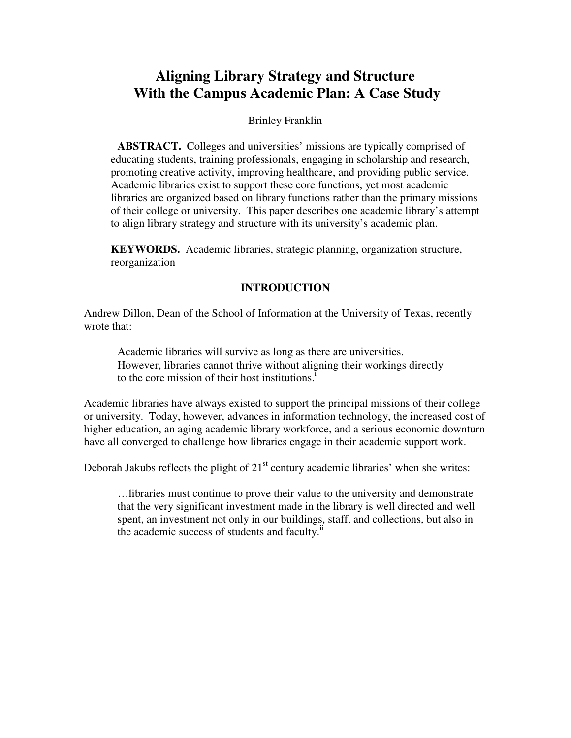# **Aligning Library Strategy and Structure With the Campus Academic Plan: A Case Study**

#### Brinley Franklin

**ABSTRACT.** Colleges and universities' missions are typically comprised of educating students, training professionals, engaging in scholarship and research, promoting creative activity, improving healthcare, and providing public service. Academic libraries exist to support these core functions, yet most academic libraries are organized based on library functions rather than the primary missions of their college or university. This paper describes one academic library's attempt to align library strategy and structure with its university's academic plan.

**KEYWORDS.** Academic libraries, strategic planning, organization structure, reorganization

## **INTRODUCTION**

Andrew Dillon, Dean of the School of Information at the University of Texas, recently wrote that:

Academic libraries will survive as long as there are universities. However, libraries cannot thrive without aligning their workings directly to the core mission of their host institutions.<sup> $I$ </sup>

Academic libraries have always existed to support the principal missions of their college or university. Today, however, advances in information technology, the increased cost of higher education, an aging academic library workforce, and a serious economic downturn have all converged to challenge how libraries engage in their academic support work.

Deborah Jakubs reflects the plight of  $21<sup>st</sup>$  century academic libraries' when she writes:

…libraries must continue to prove their value to the university and demonstrate that the very significant investment made in the library is well directed and well spent, an investment not only in our buildings, staff, and collections, but also in the academic success of students and faculty. $\mathbf{u}$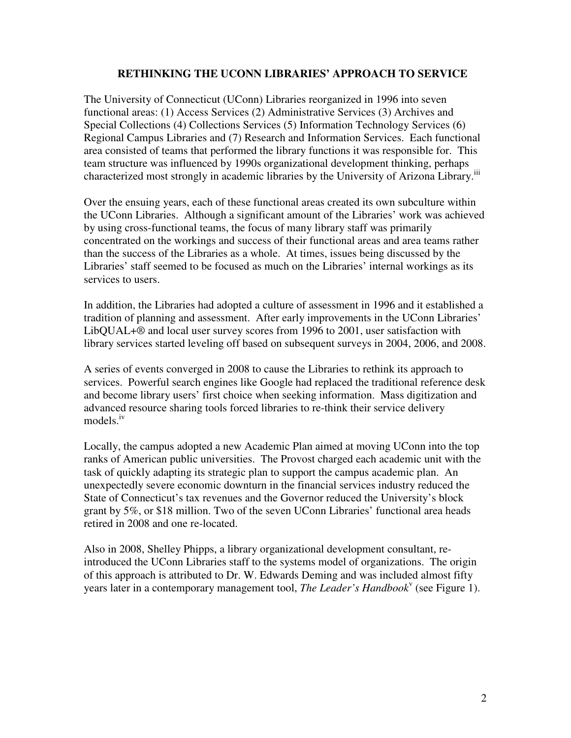#### **RETHINKING THE UCONN LIBRARIES' APPROACH TO SERVICE**

The University of Connecticut (UConn) Libraries reorganized in 1996 into seven functional areas: (1) Access Services (2) Administrative Services (3) Archives and Special Collections (4) Collections Services (5) Information Technology Services (6) Regional Campus Libraries and (7) Research and Information Services. Each functional area consisted of teams that performed the library functions it was responsible for. This team structure was influenced by 1990s organizational development thinking, perhaps characterized most strongly in academic libraries by the University of Arizona Library.iii

Over the ensuing years, each of these functional areas created its own subculture within the UConn Libraries. Although a significant amount of the Libraries' work was achieved by using cross-functional teams, the focus of many library staff was primarily concentrated on the workings and success of their functional areas and area teams rather than the success of the Libraries as a whole. At times, issues being discussed by the Libraries' staff seemed to be focused as much on the Libraries' internal workings as its services to users.

In addition, the Libraries had adopted a culture of assessment in 1996 and it established a tradition of planning and assessment. After early improvements in the UConn Libraries' LibQUAL+® and local user survey scores from 1996 to 2001, user satisfaction with library services started leveling off based on subsequent surveys in 2004, 2006, and 2008.

A series of events converged in 2008 to cause the Libraries to rethink its approach to services. Powerful search engines like Google had replaced the traditional reference desk and become library users' first choice when seeking information. Mass digitization and advanced resource sharing tools forced libraries to re-think their service delivery models.<sup>iv</sup>

Locally, the campus adopted a new Academic Plan aimed at moving UConn into the top ranks of American public universities. The Provost charged each academic unit with the task of quickly adapting its strategic plan to support the campus academic plan. An unexpectedly severe economic downturn in the financial services industry reduced the State of Connecticut's tax revenues and the Governor reduced the University's block grant by 5%, or \$18 million. Two of the seven UConn Libraries' functional area heads retired in 2008 and one re-located.

Also in 2008, Shelley Phipps, a library organizational development consultant, reintroduced the UConn Libraries staff to the systems model of organizations. The origin of this approach is attributed to Dr. W. Edwards Deming and was included almost fifty years later in a contemporary management tool, *The Leader's Handbook*<sup>v</sup> (see Figure 1).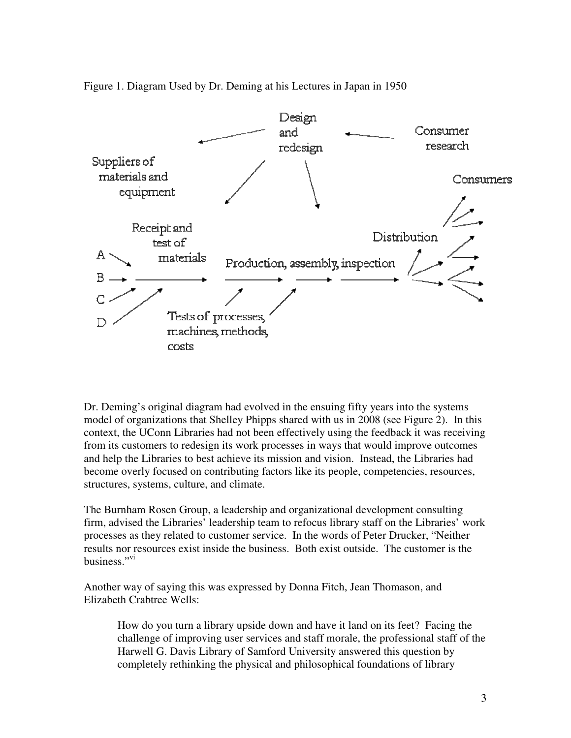Figure 1. Diagram Used by Dr. Deming at his Lectures in Japan in 1950



Dr. Deming's original diagram had evolved in the ensuing fifty years into the systems model of organizations that Shelley Phipps shared with us in 2008 (see Figure 2). In this context, the UConn Libraries had not been effectively using the feedback it was receiving from its customers to redesign its work processes in ways that would improve outcomes and help the Libraries to best achieve its mission and vision. Instead, the Libraries had become overly focused on contributing factors like its people, competencies, resources, structures, systems, culture, and climate.

The Burnham Rosen Group, a leadership and organizational development consulting firm, advised the Libraries' leadership team to refocus library staff on the Libraries' work processes as they related to customer service. In the words of Peter Drucker, "Neither results nor resources exist inside the business. Both exist outside. The customer is the business." $v_i$ 

Another way of saying this was expressed by Donna Fitch, Jean Thomason, and Elizabeth Crabtree Wells:

How do you turn a library upside down and have it land on its feet? Facing the challenge of improving user services and staff morale, the professional staff of the Harwell G. Davis Library of Samford University answered this question by completely rethinking the physical and philosophical foundations of library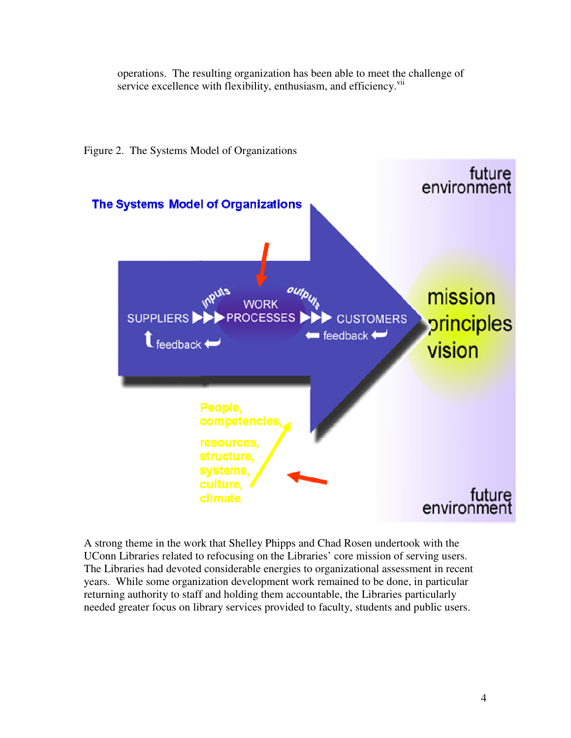operations. The resulting organization has been able to meet the challenge of service excellence with flexibility, enthusiasm, and efficiency.<sup>vii</sup>



Figure 2. The Systems Model of Organizations

A strong theme in the work that Shelley Phipps and Chad Rosen undertook with the UConn Libraries related to refocusing on the Libraries' core mission of serving users. The Libraries had devoted considerable energies to organizational assessment in recent years. While some organization development work remained to be done, in particular returning authority to staff and holding them accountable, the Libraries particularly needed greater focus on library services provided to faculty, students and public users.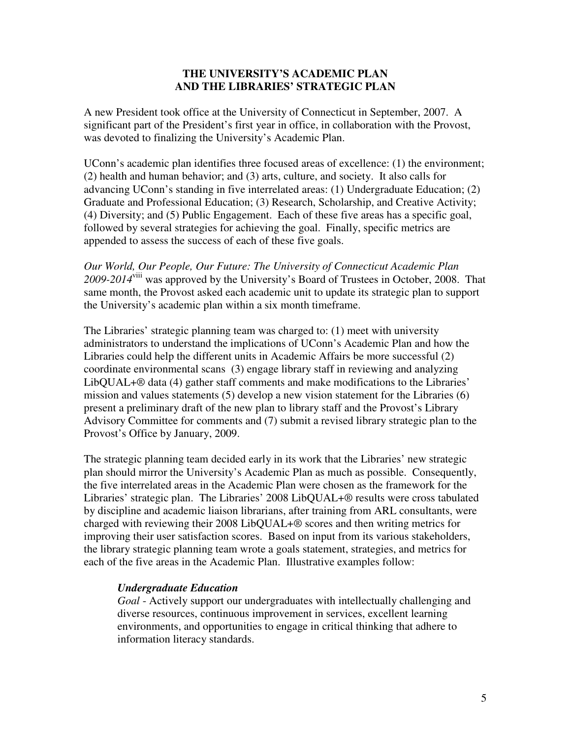#### **THE UNIVERSITY'S ACADEMIC PLAN AND THE LIBRARIES' STRATEGIC PLAN**

A new President took office at the University of Connecticut in September, 2007. A significant part of the President's first year in office, in collaboration with the Provost, was devoted to finalizing the University's Academic Plan.

UConn's academic plan identifies three focused areas of excellence: (1) the environment; (2) health and human behavior; and (3) arts, culture, and society. It also calls for advancing UConn's standing in five interrelated areas: (1) Undergraduate Education; (2) Graduate and Professional Education; (3) Research, Scholarship, and Creative Activity; (4) Diversity; and (5) Public Engagement. Each of these five areas has a specific goal, followed by several strategies for achieving the goal. Finally, specific metrics are appended to assess the success of each of these five goals.

*Our World, Our People, Our Future: The University of Connecticut Academic Plan 2009-2014*viii was approved by the University's Board of Trustees in October, 2008. That same month, the Provost asked each academic unit to update its strategic plan to support the University's academic plan within a six month timeframe.

The Libraries' strategic planning team was charged to: (1) meet with university administrators to understand the implications of UConn's Academic Plan and how the Libraries could help the different units in Academic Affairs be more successful (2) coordinate environmental scans (3) engage library staff in reviewing and analyzing LibQUAL+® data (4) gather staff comments and make modifications to the Libraries' mission and values statements (5) develop a new vision statement for the Libraries (6) present a preliminary draft of the new plan to library staff and the Provost's Library Advisory Committee for comments and (7) submit a revised library strategic plan to the Provost's Office by January, 2009.

The strategic planning team decided early in its work that the Libraries' new strategic plan should mirror the University's Academic Plan as much as possible. Consequently, the five interrelated areas in the Academic Plan were chosen as the framework for the Libraries' strategic plan. The Libraries' 2008 LibQUAL+® results were cross tabulated by discipline and academic liaison librarians, after training from ARL consultants, were charged with reviewing their 2008 LibQUAL+® scores and then writing metrics for improving their user satisfaction scores. Based on input from its various stakeholders, the library strategic planning team wrote a goals statement, strategies, and metrics for each of the five areas in the Academic Plan. Illustrative examples follow:

#### *Undergraduate Education*

*Goal* - Actively support our undergraduates with intellectually challenging and diverse resources, continuous improvement in services, excellent learning environments, and opportunities to engage in critical thinking that adhere to information literacy standards.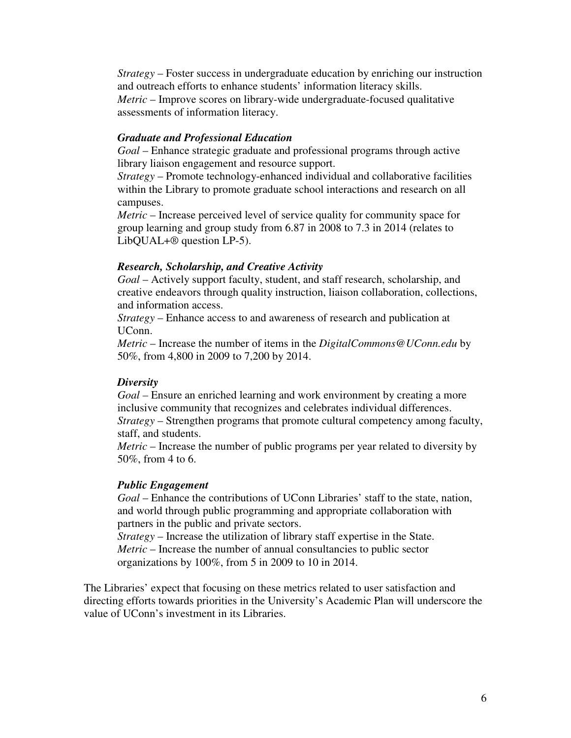*Strategy* – Foster success in undergraduate education by enriching our instruction and outreach efforts to enhance students' information literacy skills. *Metric* – Improve scores on library-wide undergraduate-focused qualitative assessments of information literacy.

#### *Graduate and Professional Education*

*Goal* – Enhance strategic graduate and professional programs through active library liaison engagement and resource support.

*Strategy* – Promote technology-enhanced individual and collaborative facilities within the Library to promote graduate school interactions and research on all campuses.

*Metric* – Increase perceived level of service quality for community space for group learning and group study from 6.87 in 2008 to 7.3 in 2014 (relates to LibQUAL+® question LP-5).

#### *Research, Scholarship, and Creative Activity*

*Goal* – Actively support faculty, student, and staff research, scholarship, and creative endeavors through quality instruction, liaison collaboration, collections, and information access.

*Strategy* – Enhance access to and awareness of research and publication at UConn.

*Metric* – Increase the number of items in the *DigitalCommons@UConn.edu* by 50%, from 4,800 in 2009 to 7,200 by 2014.

#### *Diversity*

*Goal* – Ensure an enriched learning and work environment by creating a more inclusive community that recognizes and celebrates individual differences. *Strategy* – Strengthen programs that promote cultural competency among faculty, staff, and students.

*Metric* – Increase the number of public programs per year related to diversity by 50%, from 4 to 6.

#### *Public Engagement*

*Goal* – Enhance the contributions of UConn Libraries' staff to the state, nation, and world through public programming and appropriate collaboration with partners in the public and private sectors.

*Strategy* – Increase the utilization of library staff expertise in the State. *Metric* – Increase the number of annual consultancies to public sector organizations by 100%, from 5 in 2009 to 10 in 2014.

The Libraries' expect that focusing on these metrics related to user satisfaction and directing efforts towards priorities in the University's Academic Plan will underscore the value of UConn's investment in its Libraries.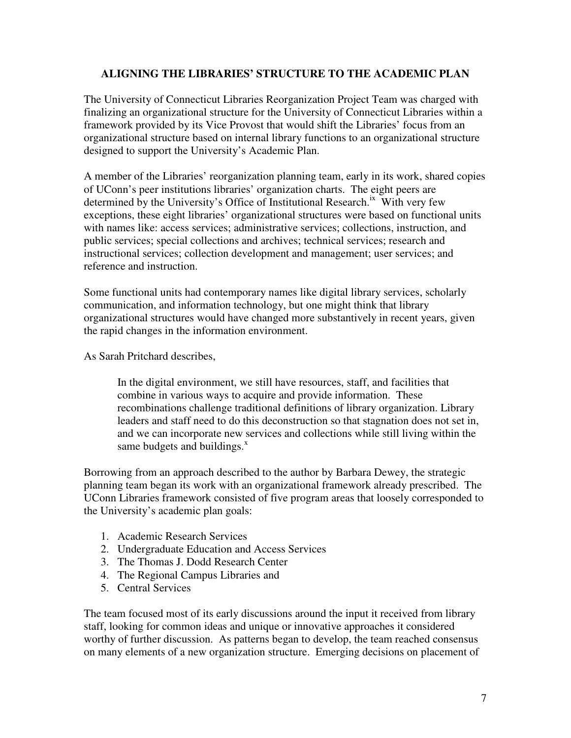## **ALIGNING THE LIBRARIES' STRUCTURE TO THE ACADEMIC PLAN**

The University of Connecticut Libraries Reorganization Project Team was charged with finalizing an organizational structure for the University of Connecticut Libraries within a framework provided by its Vice Provost that would shift the Libraries' focus from an organizational structure based on internal library functions to an organizational structure designed to support the University's Academic Plan.

A member of the Libraries' reorganization planning team, early in its work, shared copies of UConn's peer institutions libraries' organization charts. The eight peers are determined by the University's Office of Institutional Research.<sup>ix</sup> With very few exceptions, these eight libraries' organizational structures were based on functional units with names like: access services; administrative services; collections, instruction, and public services; special collections and archives; technical services; research and instructional services; collection development and management; user services; and reference and instruction.

Some functional units had contemporary names like digital library services, scholarly communication, and information technology, but one might think that library organizational structures would have changed more substantively in recent years, given the rapid changes in the information environment.

As Sarah Pritchard describes,

In the digital environment, we still have resources, staff, and facilities that combine in various ways to acquire and provide information. These recombinations challenge traditional definitions of library organization. Library leaders and staff need to do this deconstruction so that stagnation does not set in, and we can incorporate new services and collections while still living within the same budgets and buildings. $^x$ 

Borrowing from an approach described to the author by Barbara Dewey, the strategic planning team began its work with an organizational framework already prescribed. The UConn Libraries framework consisted of five program areas that loosely corresponded to the University's academic plan goals:

- 1. Academic Research Services
- 2. Undergraduate Education and Access Services
- 3. The Thomas J. Dodd Research Center
- 4. The Regional Campus Libraries and
- 5. Central Services

The team focused most of its early discussions around the input it received from library staff, looking for common ideas and unique or innovative approaches it considered worthy of further discussion. As patterns began to develop, the team reached consensus on many elements of a new organization structure. Emerging decisions on placement of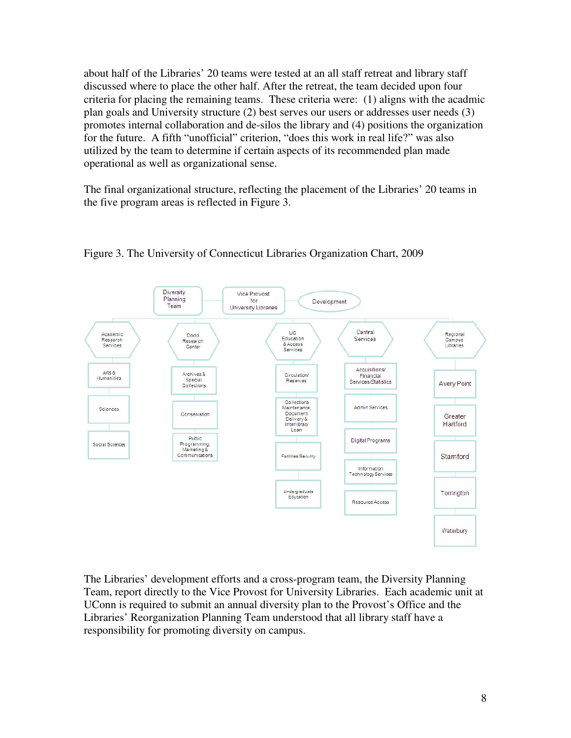about half of the Libraries' 20 teams were tested at an all staff retreat and library staff discussed where to place the other half. After the retreat, the team decided upon four criteria for placing the remaining teams. These criteria were: (1) aligns with the acadmic plan goals and University structure (2) best serves our users or addresses user needs (3) promotes internal collaboration and de-silos the library and (4) positions the organization for the future. A fifth "unofficial" criterion, "does this work in real life?" was also utilized by the team to determine if certain aspects of its recommended plan made operational as well as organizational sense.

The final organizational structure, reflecting the placement of the Libraries' 20 teams in the five program areas is reflected in Figure 3.





The Libraries' development efforts and a cross-program team, the Diversity Planning Team, report directly to the Vice Provost for University Libraries. Each academic unit at UConn is required to submit an annual diversity plan to the Provost's Office and the Libraries' Reorganization Planning Team understood that all library staff have a responsibility for promoting diversity on campus.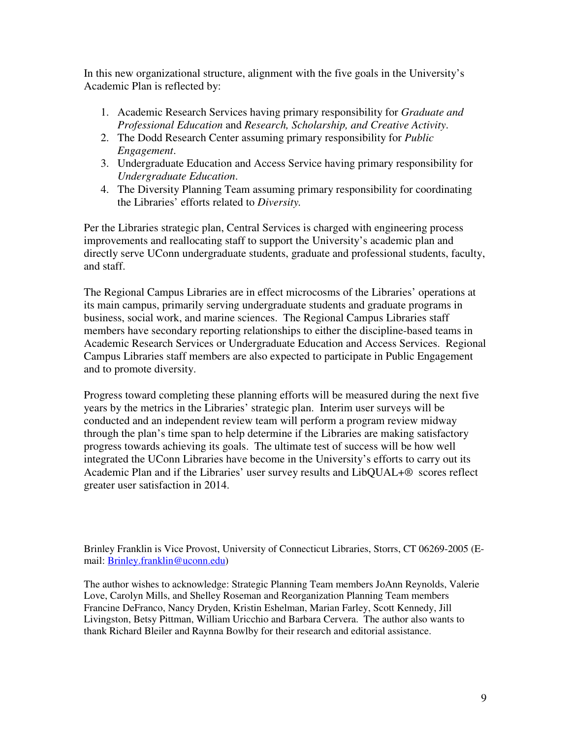In this new organizational structure, alignment with the five goals in the University's Academic Plan is reflected by:

- 1. Academic Research Services having primary responsibility for *Graduate and Professional Education* and *Research, Scholarship, and Creative Activity*.
- 2. The Dodd Research Center assuming primary responsibility for *Public Engagement*.
- 3. Undergraduate Education and Access Service having primary responsibility for *Undergraduate Education*.
- 4. The Diversity Planning Team assuming primary responsibility for coordinating the Libraries' efforts related to *Diversity.*

Per the Libraries strategic plan, Central Services is charged with engineering process improvements and reallocating staff to support the University's academic plan and directly serve UConn undergraduate students, graduate and professional students, faculty, and staff.

The Regional Campus Libraries are in effect microcosms of the Libraries' operations at its main campus, primarily serving undergraduate students and graduate programs in business, social work, and marine sciences. The Regional Campus Libraries staff members have secondary reporting relationships to either the discipline-based teams in Academic Research Services or Undergraduate Education and Access Services. Regional Campus Libraries staff members are also expected to participate in Public Engagement and to promote diversity.

Progress toward completing these planning efforts will be measured during the next five years by the metrics in the Libraries' strategic plan. Interim user surveys will be conducted and an independent review team will perform a program review midway through the plan's time span to help determine if the Libraries are making satisfactory progress towards achieving its goals. The ultimate test of success will be how well integrated the UConn Libraries have become in the University's efforts to carry out its Academic Plan and if the Libraries' user survey results and LibQUAL+® scores reflect greater user satisfaction in 2014.

Brinley Franklin is Vice Provost, University of Connecticut Libraries, Storrs, CT 06269-2005 (Email: Brinley.franklin@uconn.edu)

The author wishes to acknowledge: Strategic Planning Team members JoAnn Reynolds, Valerie Love, Carolyn Mills, and Shelley Roseman and Reorganization Planning Team members Francine DeFranco, Nancy Dryden, Kristin Eshelman, Marian Farley, Scott Kennedy, Jill Livingston, Betsy Pittman, William Uricchio and Barbara Cervera. The author also wants to thank Richard Bleiler and Raynna Bowlby for their research and editorial assistance.